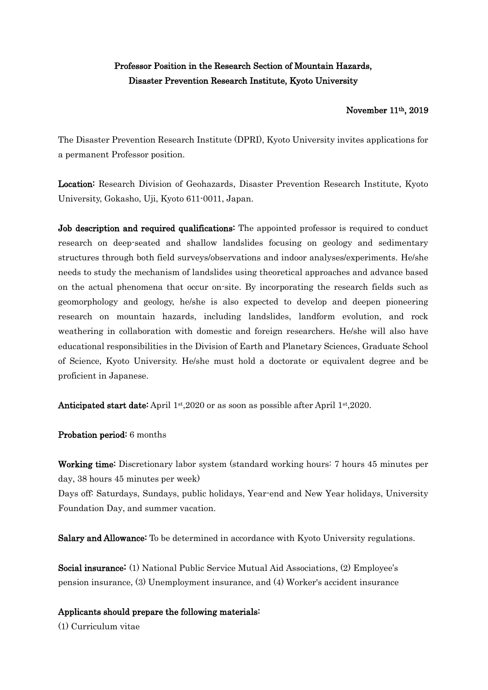## Professor Position in the Research Section of Mountain Hazards, Disaster Prevention Research Institute, Kyoto University

## November 11th, 2019

The Disaster Prevention Research Institute (DPRI), Kyoto University invites applications for a permanent Professor position.

Location: Research Division of Geohazards, Disaster Prevention Research Institute, Kyoto University, Gokasho, Uji, Kyoto 611-0011, Japan.

Job description and required qualifications: The appointed professor is required to conduct research on deep-seated and shallow landslides focusing on geology and sedimentary structures through both field surveys/observations and indoor analyses/experiments. He/she needs to study the mechanism of landslides using theoretical approaches and advance based on the actual phenomena that occur on-site. By incorporating the research fields such as geomorphology and geology, he/she is also expected to develop and deepen pioneering research on mountain hazards, including landslides, landform evolution, and rock weathering in collaboration with domestic and foreign researchers. He/she will also have educational responsibilities in the Division of Earth and Planetary Sciences, Graduate School of Science, Kyoto University. He/she must hold a doctorate or equivalent degree and be proficient in Japanese.

Anticipated start date: April  $1st,2020$  or as soon as possible after April  $1st,2020$ .

Probation period: 6 months

Working time: Discretionary labor system (standard working hours: 7 hours 45 minutes per day, 38 hours 45 minutes per week)

Days off: Saturdays, Sundays, public holidays, Year-end and New Year holidays, University Foundation Day, and summer vacation.

Salary and Allowance: To be determined in accordance with Kyoto University regulations.

Social insurance: (1) National Public Service Mutual Aid Associations, (2) Employee's pension insurance, (3) Unemployment insurance, and (4) Worker's accident insurance

## Applicants should prepare the following materials:

(1) Curriculum vitae